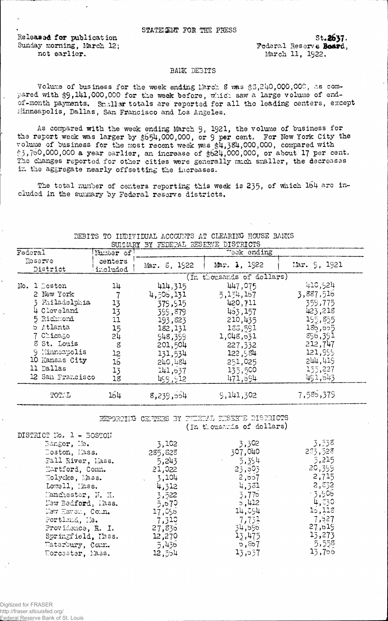Released for publication Sunday morning, March 12; not earlier.

St.2637. Federal Reserve Board. March 11, 1922.

## BANK DEBITS

Volume of business for the week ending March 8 was \$3,240,000,000, as compared with \$9,141,000,000 for the week before, which saw a large volume of endof-month payments. Smaller totals are reported for all the leading centers, except Minneapolis, Dallas, San Francisco and Los Angeles.

As compared with the week ending March 9, 1921, the volume of business for the report week was larger by \$654,000,000, or 9 per cent. For New York City the volume of business for the most recent week was \$4,384,000,000, compared with  $$3,760,000,000$  a year earlier, an increase of  $$624,000,000$ , or about 17 per cent. The changes reported for other cities were generally much smaller, the decreases in the aggregate nearly offsetting the increases.

The total number of centers reporting this week is 235, of which 164 are included in the summary by Federal reserve districts.

|                     |                     | SONGWELL DI PEDETAN KEPERAN DIPIRIOID |                           |              |
|---------------------|---------------------|---------------------------------------|---------------------------|--------------|
| $\texttt{Federal}$  | Number of           |                                       | Teck ending               |              |
| Reserve<br>District | centers<br>included | Mar. 8, 1922                          | Mar. 1, 1922              | Mar. 9, 1921 |
|                     |                     |                                       | (In thousands of dollars) |              |
| No. 1 Doston        | 14                  | 414,315                               | 447,075                   | 410,524      |
| 2 New York          |                     | 4,505,131                             | 5,154,157                 | 3,887,516    |
| 3 Fhiladelphia      | 13                  | 379,915                               | 420,711                   | 359,775      |
| 4 Cleveland         | 13                  | 399,879                               | 453,157                   | 423,218      |
| 5 Richmond          | 11                  | 193,823                               | 210,435                   | 195,855      |
| <b>6</b> Atlanta    | 15                  | 182,131                               | 133,591                   | 186,655      |
| 7 Chicago           | 54                  | 948,399                               | 1,048,631                 | 896,391      |
| 8 St. Louis         | 8                   | 201,504                               | 227,332                   | 212,747      |
| 9 Hinnecpolis       | 12                  | 131,534                               | 122,584                   | 121,999      |
| 10 Kansas City      | 16                  | 240,484                               | 251,025                   | 244,419      |
| 11 Dallas           | 13                  | 141,637                               | 135,500                   | 155,227      |
| 12 San Francisco    | 18                  | 499,912                               | 471,594                   | 491,643      |
| TOTAL               | 164                 | 8,239,554                             | 9,141,302                 | 7,585,379    |
|                     |                     |                                       |                           |              |

DEBITS TO HIDIVIDUAL ACCOUNTS AT CLEARING HOUSE BANKS 2001 TOMPTA UNION TACHER THE THE TEAM

> REPORTIKE CENTERS BY FELERAL RESERVE DISTRICTS (In thousands of dollars)

| DISTRICT No. 1 - BOSTON |         |                 |          |
|-------------------------|---------|-----------------|----------|
| Bangor, Me.             | 3,102   | 3,302           | 3,538    |
| Doston, Mass.           | 285,828 | 307,040         | 233,528  |
| Fall River, Lass.       | 5,243   | 5,354           | 5,215    |
| Hartford, Conn.         | 21,022  | 23,503          | 20,399   |
| Holyoke, Mass.          | 3,104   | 2,557           | 2,715    |
| Lowell, Mass.           | 4,312   | 4,381           | 2,832    |
| Manchester, N. H.       | 3,522   | 3,775           | $-3,506$ |
| New Bedford, lass.      | 5,570   | 5,412           | 4,330    |
| New Haven, Com.         | 17,056  | 14,054          | 15,118   |
| Portland, He.           | 7,310   | 7,731           | 7,527    |
| Providence, R. I.       | 27,830  | 34,595          | 27,619   |
| Springfield, Mass.      | 12,270  | 13,475          | 13,273   |
| Waterbury, Conn.        | 5,436   | $\circ$ , $867$ | 5,558    |
| U.orcester, Mass.       | 12,554  | 13,557          | 13,766   |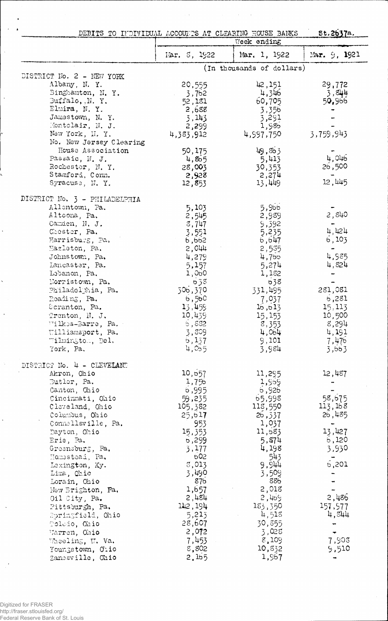| DEBITS TO INDIVIDUAL ACCOUNTS AT CLEARING HOUSE BANKS |                     | Week ending               | 5t.2637a.      |
|-------------------------------------------------------|---------------------|---------------------------|----------------|
|                                                       |                     |                           |                |
|                                                       | Mar. 5, 1922        | Mar. 1, 1922              | Mar. 9, 1921   |
| DISTRICT No. 2 - NEW YORK                             |                     | (In thousands of dollars) |                |
| Albany, N.Y.                                          | 20,555              | 42,151                    | 29,772         |
| Binghamton, N.Y.                                      | 3,762               | 4,346                     | 3,844          |
| Buffalo, N.Y.                                         | 52,181              | 60,705                    | 50,956         |
| Elmira, N.Y.                                          | 2,688               | 3,356                     |                |
| Jamestown, N. Y.                                      | 3,143               | 3,291                     |                |
| Montelair, N. J.                                      | 2,299               | 1,986                     |                |
| New York, N.Y.                                        | 4,383,912           | 4,997,750                 | 3,759,943      |
| No. New Jersey Clearing                               |                     |                           |                |
| House Association<br>Passaic, N. J.                   | 50,175              | 49,863<br>5,413           | 4,046          |
| Rochester, N.Y.                                       | 4,805<br>28,003     | 30,353                    | 26,500         |
| Stamford, Conn.                                       | 2,928               | 2,274                     |                |
| Syracuse, N.Y.                                        | 12,853              | 13,449                    | 12,445         |
| DISTRICT No. 3 - PHILADELPHIA                         |                     |                           |                |
| Allentown, Pa.                                        | 5,103               | 5,966                     |                |
| Altoona, Pa.                                          | 2,545               | 2,989                     | 2,840          |
| Camden, N. J.                                         | 3,747               | 9,392                     |                |
| Chester, Pa.                                          | 3,551               | 5,235                     | 4,424          |
| Harrisburg, Pa.                                       | 6,662               | 6,647                     | 6,103          |
| Hazleton, Pa.                                         | 2,044               | 2,535                     | 4,985          |
| Johnstown, Pa.<br>Lancaster, Pa.                      | 4,279<br>5,157      | 4,766<br>5,274            | 4,824          |
| Labanon, Pa.                                          | 1,060               | 1,182                     |                |
| Morristown, Pa.                                       | 638                 | 638                       |                |
| Philadelphia, Pa.                                     | 506,370             | 331,495                   | 281,081        |
| Reading, Pa.                                          | 6,560               | 7,037                     | 6,281          |
| Scranton, Pa.                                         | 13,459              | 16, 613                   | 15, 113        |
| Trenton, N. J.                                        | 10,439              | 15,153                    | 10,500         |
| Wilkes-Barre, Pa.                                     | 6,832               | 8,353                     | 8,294          |
| Williamsport, Pa.                                     | 3,809               | 4,064                     | 4,191          |
| Wilmingtom, Del.<br>York, Pa.                         | 5,137<br>4,055      | 9,101<br>3,984            | 7,476<br>3,663 |
|                                                       |                     |                           |                |
| DISTRICT No. 4 - CLEVELAND                            |                     |                           |                |
| Akron, Ohio<br>Butler, Pa.                            | 10, 557<br>1,756    | 11,295<br>1,959           | 12,487         |
| Canton, Ohio                                          | 6,995               | 6,926                     |                |
| Cincinnati, Ohio                                      | 59,235              | 65,998                    | 58,675         |
| Cleveland, Ohio                                       | 105,382             | 11g,550                   | 113,168        |
| Columbus, Ohio                                        | 25, b17             | 26,337                    | 26,485         |
| Connellsville, Pa.                                    | 953                 | 1,037                     |                |
| Dayton, Ohio                                          | 15,353              | 11,583                    | 13,427         |
| Erie, Pa.                                             | b,299               | 5,874                     | 6,120          |
| Greensburg, Pa.                                       | 3,177<br><b>502</b> | 4,198<br>543              | 3,930          |
| Homastead, Pa.<br>Lexington, Ky.                      | 3,013               | 9,944                     | 6,201          |
| Lima, Chio                                            | 3,490               | 3,509                     |                |
| Lorain, Ohio                                          | 87 <sub>b</sub>     | 886                       |                |
| New Brighton, Pa.                                     | 1,657               | 2,018                     |                |
| Oil City, Pa.                                         | 2,484               | 2,469                     | 2,486          |
| Pittsburgh, Pa.                                       | 142, 194            | 183,350                   | 157,577        |
| Springfield, Ohio                                     | 5,213               | 4,518                     | 4,844          |
| Toledo, Ohio                                          | 28,607              | 30,855                    |                |
| Warren, Ohio                                          | 2,072               | 3,028<br>8,109            |                |
| Wheeling, W. Va.<br>Youngstown, Oiio                  | 7,453<br>8,802      | 10,832                    | 7,908<br>9,510 |
| Zanesville, Ohio                                      | 2.165               | 1,967                     |                |

 $\overline{\phantom{a}}$ 

 $\ddot{\phantom{0}}$ 

 $\ddot{\phantom{a}}$ 

 $\ddot{\cdot}$ 

 $\ddot{\phantom{0}}$ 

 $\bar{\phantom{a}}$ 

 $\hat{\beta}$ 

 $\ddot{\phantom{0}}$ 

 $\hat{\boldsymbol{\beta}}$ 

 $\ddot{\phantom{0}}$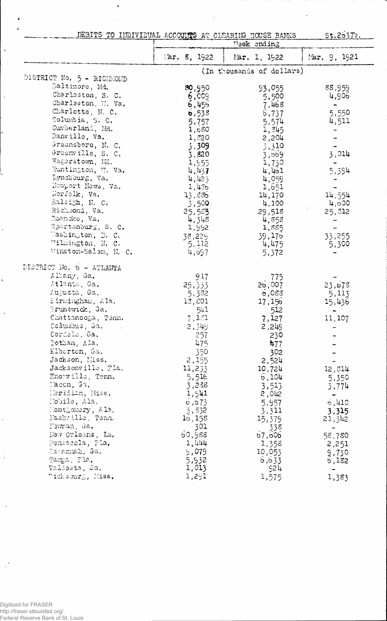|  |  |  | DEBITS TO INDIVIDUAL ACCOUNTS AT CLEARING HOUSE BANKS |  |  |  |  |  |
|--|--|--|-------------------------------------------------------|--|--|--|--|--|
|--|--|--|-------------------------------------------------------|--|--|--|--|--|

 $\ddot{\phantom{0}}$ 

 $\ddot{\phantom{1}}$ 

 $\ddot{\phantom{0}}$ 

<u>st.26370.</u>

|                                        |                | Week ending               |              |
|----------------------------------------|----------------|---------------------------|--------------|
|                                        | Mar. $5, 1922$ | Mar. 1, 1922              | Mar. 9, 1921 |
| DISTRICT No. 5 - RICHMOND              |                | (In thousands of dollars) |              |
| Baltimore, Md.                         |                |                           |              |
| Charleston, S. C.                      | 80,950         | 93,055                    | 88,959       |
|                                        | 6,009          | 5,500                     | 4,906        |
| Charleston, W. Va.                     | 6,456          | 7,468                     | $\bullet$    |
| Charlotte, N. C.                       | 538            | 6,737                     | 5,550        |
| Columbia, S. C.                        | 5,757          | 5,574                     | 4,511        |
| Cumberland, Md.                        | 1,680          | 1,345                     |              |
| Danville, Va.                          | 1,820          | 2,204                     |              |
| Greensboro, N. C.                      | 3,309          | 3,310                     |              |
| Greenwille, S. C.                      | 3,820          | 3,559                     | 3,014        |
| Hagerstown, Md.                        | 1,955          | 1,730                     |              |
| Huntington, W. Va.                     | 4,437          | 4,461                     | 5,394        |
| Lynchburg, Va.                         | 4,423          | 4,059                     |              |
| Newport News, Va.                      | 1,436          | 1,651                     |              |
| Worfolk, Va.                           | 13,886         | 14,170                    | 14,554       |
| Raleigh, N. C.                         | 3,500          | 4,100                     | -4,600       |
| Richmond, Va.                          | 25,555         | 29,518                    | 25,312       |
| Roanoke, Va.                           | 4,348          | 4,858                     |              |
| Spartanburg, S. C.                     | 1,992          | 1,885                     |              |
| Washington, D. C.<br>Wilmington, N. C. | 38,229         | 39,175                    | 33,255       |
| Winston-Salem, M. C.                   | 5, 112         | 4,475                     | 5,300        |
|                                        | 4,697          | 5,372                     |              |
| DISTRICT No. 6 - ATLANTA               |                |                           |              |
| Albany, Ga.                            | 917            | 775                       |              |
| Atlanta, Ga.                           | 25,333         | 2b,007                    | 23,678       |
| Augusta, Ga.                           | 5,382          | 6,083                     | 5,113        |
| Eirmingham, Ala.                       | 13,501         | 17,156                    | 15,436       |
| Srunswick, Ga,                         | 541            | 512                       |              |
| Chattanooga, Tenn.                     | 7,121          | 7,127                     | 11,107       |
| Columbus, Ga.                          | 2,349          | 2,249                     |              |
| Cordele, Ga.                           | -257           | 230                       |              |
| Dothan, Ala.                           | 475            | 477                       |              |
| Elberton, Ga.                          | 350            | 302                       |              |
| Jackson, Miss.                         | 2,155          | 2,524                     |              |
| Jacksonville, Fla.                     | 11,233         | 10,724                    | 12,314       |
| Knorville, Tenn.                       | 5,516          | 6,104                     | 5,350        |
| Tacen, Ga,                             | 3,288          | 3.513                     | 3,774        |
| Meridian, Miss.                        | 1,941          | 2,042                     |              |
| Mobile, Ala.                           | 6, 573         | 5,957                     | 6,410        |
| Montgomery, Ala.                       | 3,832          | 3,311                     | 3,315        |
| Nashville, Tenn.                       | 16,158         | 15,379                    | 21,342       |
| Newman, Ga.                            | 301            | 338                       |              |
| New Orleans, La.                       | 60,988         | 67,606                    | 58,780       |
| Pensacola, Fla,                        | 1,444          | 1,358                     | 2,251        |
| Savannah, Ga.                          | 9,079          | 10,053                    | 9,730        |
| Tampa, Fla.                            | 5,932          | 6,633                     | 6,182        |
| Valiosta, Ga.                          | 1,013          | 55 <sup>11</sup>          | ÷            |
| Vicksburg, Miss.                       | 1,291          | 1,575                     | 1,383        |

Digitized for FRASER<br>http://fraser.stlouisfed.org/<br>Federal Reserve Bank of St. Louis

 $\ddot{i}$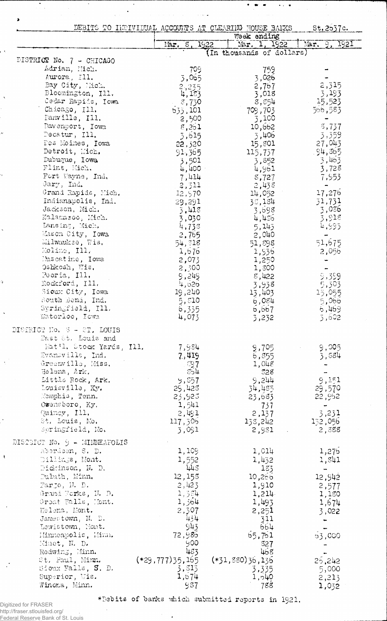|                                           |                   | DEBITS TO INCIVIDUAL ACCOUNTS AT CLEARING HOUSE BARKS | St.2537c.        |
|-------------------------------------------|-------------------|-------------------------------------------------------|------------------|
|                                           |                   | Week ending                                           |                  |
|                                           | Mar, 8,           | Mar. 1, 1922<br>1922                                  | Mar. 9, 1921     |
|                                           |                   | (In thousands of dollars)                             |                  |
| DISTRICT No. 7 - CHICAGO<br>Adrian, Mich. |                   |                                                       |                  |
| Aurora, Ill.                              | 709               | 759                                                   |                  |
| Bay City, Mich.                           | 3,065             | 3,026<br>2,767                                        | 2,315            |
| Bloomington, Ill.                         | $2,235$<br>4,183  | 3,018                                                 | 3,193            |
| Cedar Rapids, Iowa                        | 8,730             | 8,554                                                 | 15,523           |
| Chicago, Ill.                             | 533,101           | 709,703                                               | 566,583          |
| Danville, Ill.                            | 2,500             | 3,100                                                 |                  |
| Davenport, Iowa                           | 8,261             | 10,662                                                | 3,737            |
| Decatur, Ill.                             | 3,615             | 3,406                                                 | 3,359            |
| Des Moines, Iowa                          | 22,320            | 15,801                                                | 27,043           |
| Detroit, Mich.                            | 91,365            | 115,737                                               | .94,365          |
| Dubuque, Iowa                             | 3,501             | 3,852                                                 | 3,463            |
| Flint, Mich.                              | 4,400 -           | 4,961                                                 | 3,728            |
| Fort Wayne, Ind.                          | 7,414             | 8,727                                                 | 7,953            |
| Gary, Ind.                                | 2,311             | 2,438                                                 |                  |
| Grand Rapids, Mich.                       | 12,970            | 14,052                                                | 17,276           |
| Indianapolis, Ind.<br>Jackson, Mich.      | 29,291            | 35,184                                                | 31,731           |
| Kalamazoo, Mich.                          | 3,418             | 3,698                                                 | 3,056<br>3,918   |
| Lansing, Mich.                            | 3,030<br>4,738    | 4,456<br>5,145                                        | 4,995            |
| Mason City, Iowa                          | 2,765             | 2,040                                                 |                  |
| Milwaukse, Wis.                           | 54,518            | 51,898                                                | 51,675           |
| Moline, Ill.                              | 1,676             | 1,936                                                 | 2,056            |
| Muscatine, Iowa                           | 2,073             | 1,250                                                 |                  |
| Oshkosh, Wis,                             | 2,300             | 1,300                                                 |                  |
| Peoria, Ill,                              | 9,249             | 8,422                                                 | 9,399            |
| Rockford, Ill.                            | 4,626             | 3,938                                                 | 5,303            |
| Sioux City, Iowa                          | 19,240            | 13,403                                                | 15,055           |
| South Bend, Ind.                          | 5,810             | 6,084                                                 | 5,066            |
| Springfield, Ill.                         | 6,335             | 6,667                                                 | 6,469            |
| Waterloo, Iowa                            | 4,073             | 3,232                                                 | 5,602            |
| DISTRICT No. 3 - ST. LOUIS                |                   |                                                       |                  |
| East 8t. Louis and                        |                   |                                                       |                  |
| Mat'l. Stock Yards, Ill.                  | 7,984             | 9,705                                                 | 9,005            |
| Evansville, Ind.                          | 7.419             | 6,855                                                 | 3,584            |
| Greenville, Miss.                         | ි $97$            | 1,048                                                 |                  |
| Helena, Ark.                              | 554               | 528                                                   |                  |
| Little Rock, Ark.                         | 9,557             | 9,244                                                 | 9,151            |
| Louisville, Ky.<br>Momphis, Tenn.         | 29,428<br>23,923  | 34,485<br>23,683                                      | 29,570<br>22,952 |
| Owensboro, Ky.                            | 1,541             | - 737                                                 |                  |
| Quincy, Ill.                              | 2,491             | 2,137                                                 | 3,231            |
| St. Louis, Mo.                            | 117,306           | 138,242                                               | 132,056          |
| Springfield, Mo.                          | 3,091             | 2,981                                                 | 2,388            |
| DISTRICT No. 9 - MINNEAPOLIS              |                   |                                                       |                  |
| Aberdeen, S. D.                           | 1,109             | 1,014                                                 | 1,275            |
| Dillings, Mont.                           | 1,552             | 1,432                                                 | 1,841            |
| Diddinson, N. D.                          | 443               | 183                                                   | ÷.               |
| Duluth, Minn.                             | 12,155            | 10,266                                                | 12,942           |
| Farjo, N. D.                              | 2,423             | 1,910                                                 | 2,577            |
| Grand Forks, N. D.                        | 1,384             | 1,214                                                 | 1,180            |
| Great Falls, Mont.                        | 1,364             | 1,493                                                 | 1,674            |
| Helena, Mont.                             | 2,307             | 2,251                                                 | 3,022            |
| Jamestown, N. D.                          | 434               | 311                                                   |                  |
| Lewistown, Mont.                          | 943               | 664                                                   |                  |
| Minneapolis, Minn.                        | 72,985            | 65,761                                                | 53,000           |
| Minot, N. D.                              | 900               | 327                                                   |                  |
| Redwing, Minn.                            | 483               | 468                                                   |                  |
| St. Paul, Minn.                           | $(*29,777)35,165$ | $(*31,880)36,136$                                     | 26,242           |
| Sioux Falls, S. D.                        | 3,313             | 3,335                                                 | 5,000            |
| Superior, Wis.                            | 1,674             | 1,540                                                 | 2,213            |
| Winona, Minn.                             | 987               | 788                                                   | 1,032            |

 $\hat{u}^{\dagger}_{\mu}$  , where  $\hat{u}^{\dagger}_{\mu}$  is  $\hat{u}^{\dagger}_{\mu}$ 

 $\langle \ldots \rangle_{\rm{max}}$ 

 $\bar{\lambda}$ 

 $\bullet$   $\bullet$ 

 $\bullet$ 

 $\lambda_{\rm{eff}}$  ,  $\alpha$ 

\*Debits of banks which submitted reports in 1921.

 $\cdot$ 

Digitized for FRASER<br>http://fraser.stlouisfed.org/<br>Federal Reserve Bank of St. Louis

 $\mathbb{R}^2$ 

 $\pmb{\lambda}$ 

i,

 $\bar{\lambda}$ 

ò.

٠,

 $\ddot{\phantom{0}}$ 

ů,

 $\ddot{\phantom{0}}$ 

 $\ddot{\phantom{1}}$ 

 $\chi$